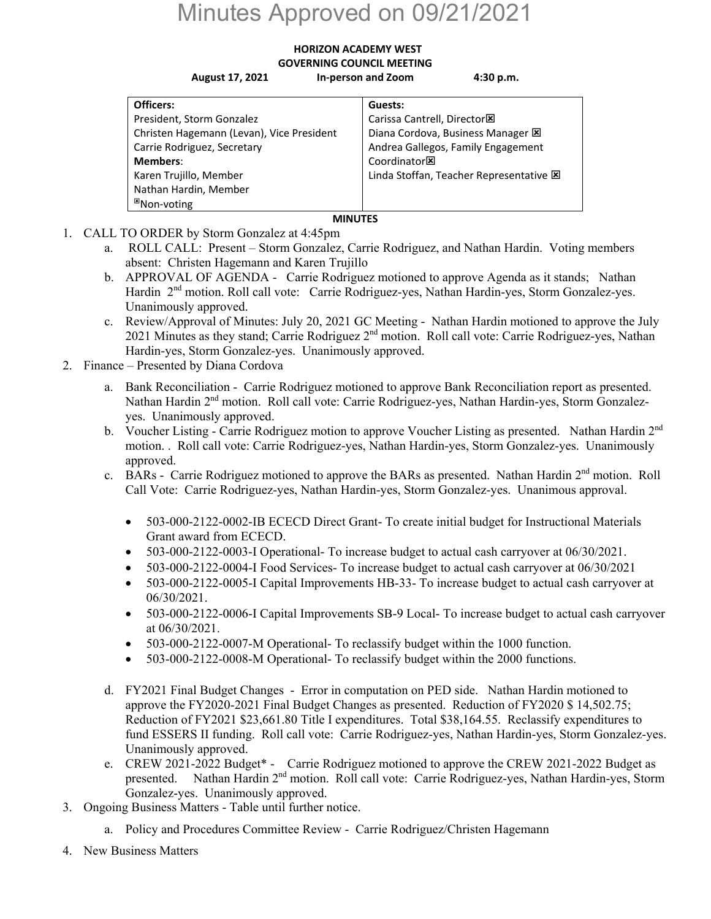## Minutes Approved on 09/21/2021

## **HORIZON ACADEMY WEST GOVERNING COUNCIL MEETING**

**August 17, 2021 In‐person and Zoom 4:30 p.m.** 

| Officers:                                 | Guests:                                 |
|-------------------------------------------|-----------------------------------------|
| President, Storm Gonzalez                 | Carissa Cantrell, Director <sup>1</sup> |
| Christen Hagemann (Levan), Vice President | Diana Cordova, Business Manager E       |
| Carrie Rodriguez, Secretary               | Andrea Gallegos, Family Engagement      |
| <b>Members:</b>                           | Coordinator <b>図</b>                    |
| Karen Trujillo, Member                    | Linda Stoffan, Teacher Representative E |
| Nathan Hardin, Member                     |                                         |
| <sup>⊠</sup> Non-voting                   |                                         |

- **MINUTES**
- 1. CALL TO ORDER by Storm Gonzalez at 4:45pm
	- a. ROLL CALL: Present Storm Gonzalez, Carrie Rodriguez, and Nathan Hardin. Voting members absent: Christen Hagemann and Karen Trujillo
	- b. APPROVAL OF AGENDA Carrie Rodriguez motioned to approve Agenda as it stands; Nathan Hardin 2<sup>nd</sup> motion. Roll call vote: Carrie Rodriguez-yes, Nathan Hardin-yes, Storm Gonzalez-yes. Unanimously approved.
	- c. Review/Approval of Minutes: July 20, 2021 GC Meeting Nathan Hardin motioned to approve the July 2021 Minutes as they stand; Carrie Rodriguez 2<sup>nd</sup> motion. Roll call vote: Carrie Rodriguez-yes, Nathan Hardin-yes, Storm Gonzalez-yes. Unanimously approved.
- 2. Finance Presented by Diana Cordova
	- a. Bank Reconciliation Carrie Rodriguez motioned to approve Bank Reconciliation report as presented. Nathan Hardin 2<sup>nd</sup> motion. Roll call vote: Carrie Rodriguez-yes, Nathan Hardin-yes, Storm Gonzalezyes. Unanimously approved.
	- b. Voucher Listing Carrie Rodriguez motion to approve Voucher Listing as presented. Nathan Hardin 2<sup>nd</sup> motion. . Roll call vote: Carrie Rodriguez-yes, Nathan Hardin-yes, Storm Gonzalez-yes. Unanimously approved.
	- c. BARs Carrie Rodriguez motioned to approve the BARs as presented. Nathan Hardin  $2<sup>nd</sup>$  motion. Roll Call Vote: Carrie Rodriguez-yes, Nathan Hardin-yes, Storm Gonzalez-yes. Unanimous approval.
		- 503-000-2122-0002-IB ECECD Direct Grant- To create initial budget for Instructional Materials Grant award from ECECD.
		- 503-000-2122-0003-I Operational- To increase budget to actual cash carryover at 06/30/2021.
		- 503-000-2122-0004-I Food Services- To increase budget to actual cash carryover at 06/30/2021
		- 503-000-2122-0005-I Capital Improvements HB-33- To increase budget to actual cash carryover at 06/30/2021.
		- 503-000-2122-0006-I Capital Improvements SB-9 Local- To increase budget to actual cash carryover at 06/30/2021.
		- 503-000-2122-0007-M Operational- To reclassify budget within the 1000 function.
		- 503-000-2122-0008-M Operational- To reclassify budget within the 2000 functions.
	- d. FY2021 Final Budget Changes Error in computation on PED side. Nathan Hardin motioned to approve the FY2020-2021 Final Budget Changes as presented. Reduction of FY2020 \$ 14,502.75; Reduction of FY2021 \$23,661.80 Title I expenditures. Total \$38,164.55. Reclassify expenditures to fund ESSERS II funding. Roll call vote: Carrie Rodriguez-yes, Nathan Hardin-yes, Storm Gonzalez-yes. Unanimously approved.
	- e. CREW 2021-2022 Budget\* Carrie Rodriguez motioned to approve the CREW 2021-2022 Budget as presented. Nathan Hardin 2<sup>nd</sup> motion. Roll call vote: Carrie Rodriguez-yes, Nathan Hardin-yes, Storm Gonzalez-yes. Unanimously approved.
- 3. Ongoing Business Matters Table until further notice.
	- a. Policy and Procedures Committee Review Carrie Rodriguez/Christen Hagemann
- 4. New Business Matters